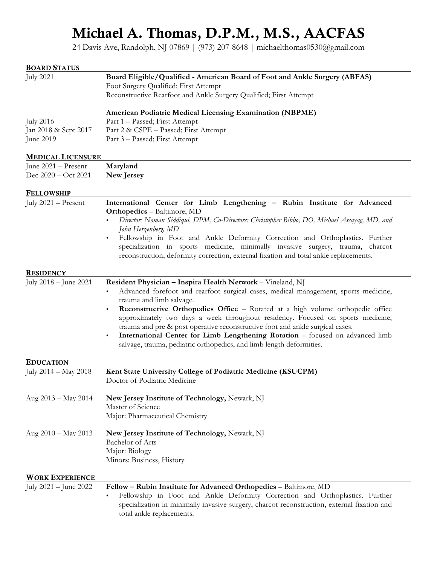## Michael A. Thomas, D.P.M., M.S., AACFAS

24 Davis Ave, Randolph, NJ 07869 | (973) 207-8648 | michaelthomas0530@gmail.com

| <b>BOARD STATUS</b><br><b>July 2021</b>               | Board Eligible/Qualified - American Board of Foot and Ankle Surgery (ABFAS)<br>Foot Surgery Qualified; First Attempt<br>Reconstructive Rearfoot and Ankle Surgery Qualified; First Attempt                                                                                                                                                                                                                                                                                                                                                                                                                                                 |
|-------------------------------------------------------|--------------------------------------------------------------------------------------------------------------------------------------------------------------------------------------------------------------------------------------------------------------------------------------------------------------------------------------------------------------------------------------------------------------------------------------------------------------------------------------------------------------------------------------------------------------------------------------------------------------------------------------------|
| <b>July 2016</b><br>Jan 2018 & Sept 2017<br>June 2019 | <b>American Podiatric Medical Licensing Examination (NBPME)</b><br>Part 1 – Passed; First Attempt<br>Part 2 & CSPE - Passed; First Attempt<br>Part 3 - Passed; First Attempt                                                                                                                                                                                                                                                                                                                                                                                                                                                               |
| <b>MEDICAL LICENSURE</b>                              |                                                                                                                                                                                                                                                                                                                                                                                                                                                                                                                                                                                                                                            |
| June 2021 - Present<br>Dec 2020 - Oct 2021            | Maryland<br>New Jersey                                                                                                                                                                                                                                                                                                                                                                                                                                                                                                                                                                                                                     |
| <b>FELLOWSHIP</b>                                     |                                                                                                                                                                                                                                                                                                                                                                                                                                                                                                                                                                                                                                            |
| July 2021 - Present                                   | International Center for Limb Lengthening - Rubin Institute for Advanced<br><b>Orthopedics</b> - Baltimore, MD<br>Director: Noman Siddiqui, DPM, Co-Directors: Christopher Bibbo, DO, Michael Assayag, MD, and<br>John Herzenberg, MD<br>Fellowship in Foot and Ankle Deformity Correction and Orthoplastics. Further<br>specialization in sports medicine, minimally invasive surgery, trauma, charcot<br>reconstruction, deformity correction, external fixation and total ankle replacements.                                                                                                                                           |
| <b>RESIDENCY</b>                                      |                                                                                                                                                                                                                                                                                                                                                                                                                                                                                                                                                                                                                                            |
| July 2018 – June 2021                                 | Resident Physician - Inspira Health Network - Vineland, NJ<br>Advanced forefoot and rearfoot surgical cases, medical management, sports medicine,<br>$\bullet$<br>trauma and limb salvage.<br><b>Reconstructive Orthopedics Office</b> - Rotated at a high volume orthopedic office<br>$\bullet$<br>approximately two days a week throughout residency. Focused on sports medicine,<br>trauma and pre & post operative reconstructive foot and ankle surgical cases.<br>International Center for Limb Lengthening Rotation - focused on advanced limb<br>$\bullet$<br>salvage, trauma, pediatric orthopedics, and limb length deformities. |
| <b>EDUCATION</b>                                      |                                                                                                                                                                                                                                                                                                                                                                                                                                                                                                                                                                                                                                            |
| July 2014 - May 2018                                  | Kent State University College of Podiatric Medicine (KSUCPM)<br>Doctor of Podiatric Medicine                                                                                                                                                                                                                                                                                                                                                                                                                                                                                                                                               |
| Aug 2013 - May 2014                                   | New Jersey Institute of Technology, Newark, NJ<br>Master of Science<br>Major: Pharmaceutical Chemistry                                                                                                                                                                                                                                                                                                                                                                                                                                                                                                                                     |
| Aug 2010 - May 2013                                   | New Jersey Institute of Technology, Newark, NJ<br>Bachelor of Arts<br>Major: Biology<br>Minors: Business, History                                                                                                                                                                                                                                                                                                                                                                                                                                                                                                                          |
| <b>WORK EXPERIENCE</b>                                |                                                                                                                                                                                                                                                                                                                                                                                                                                                                                                                                                                                                                                            |
| July 2021 - June 2022                                 | Fellow - Rubin Institute for Advanced Orthopedics - Baltimore, MD<br>Fellowship in Foot and Ankle Deformity Correction and Orthoplastics. Further<br>specialization in minimally invasive surgery, charcot reconstruction, external fixation and<br>total ankle replacements.                                                                                                                                                                                                                                                                                                                                                              |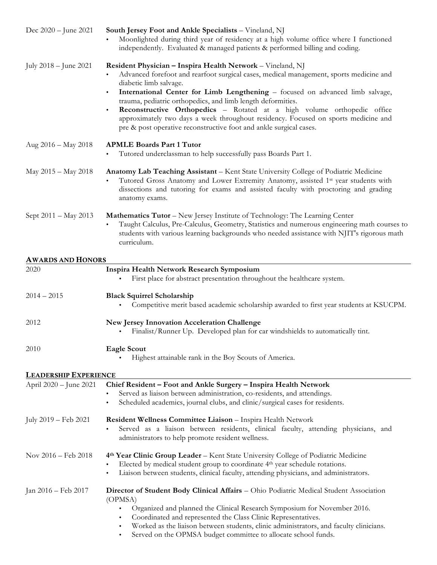| Dec 2020 – June 2021         | South Jersey Foot and Ankle Specialists - Vineland, NJ<br>Moonlighted during third year of residency at a high volume office where I functioned<br>independently. Evaluated & managed patients & performed billing and coding.                                                                                                                                                                                                                                                                                                                                                  |
|------------------------------|---------------------------------------------------------------------------------------------------------------------------------------------------------------------------------------------------------------------------------------------------------------------------------------------------------------------------------------------------------------------------------------------------------------------------------------------------------------------------------------------------------------------------------------------------------------------------------|
| July 2018 – June 2021        | Resident Physician - Inspira Health Network - Vineland, NJ<br>Advanced forefoot and rearfoot surgical cases, medical management, sports medicine and<br>diabetic limb salvage.<br>International Center for Limb Lengthening - focused on advanced limb salvage,<br>٠<br>trauma, pediatric orthopedics, and limb length deformities.<br>Reconstructive Orthopedics - Rotated at a high volume orthopedic office<br>٠<br>approximately two days a week throughout residency. Focused on sports medicine and<br>pre & post operative reconstructive foot and ankle surgical cases. |
| Aug 2016 - May 2018          | <b>APMLE Boards Part 1 Tutor</b><br>Tutored underclassman to help successfully pass Boards Part 1.                                                                                                                                                                                                                                                                                                                                                                                                                                                                              |
| May 2015 - May 2018          | Anatomy Lab Teaching Assistant - Kent State University College of Podiatric Medicine<br>Tutored Gross Anatomy and Lower Extremity Anatomy, assisted 1 <sup>st</sup> year students with<br>dissections and tutoring for exams and assisted faculty with proctoring and grading<br>anatomy exams.                                                                                                                                                                                                                                                                                 |
| Sept 2011 - May 2013         | <b>Mathematics Tutor - New Jersey Institute of Technology: The Learning Center</b><br>Taught Calculus, Pre-Calculus, Geometry, Statistics and numerous engineering math courses to<br>students with various learning backgrounds who needed assistance with NJIT's rigorous math<br>curriculum.                                                                                                                                                                                                                                                                                 |
| <b>AWARDS AND HONORS</b>     |                                                                                                                                                                                                                                                                                                                                                                                                                                                                                                                                                                                 |
| 2020                         | Inspira Health Network Research Symposium<br>First place for abstract presentation throughout the healthcare system.                                                                                                                                                                                                                                                                                                                                                                                                                                                            |
| $2014 - 2015$                | <b>Black Squirrel Scholarship</b><br>Competitive merit based academic scholarship awarded to first year students at KSUCPM.                                                                                                                                                                                                                                                                                                                                                                                                                                                     |
| 2012                         | <b>New Jersey Innovation Acceleration Challenge</b><br>Finalist/Runner Up. Developed plan for car windshields to automatically tint.                                                                                                                                                                                                                                                                                                                                                                                                                                            |
| 2010                         | <b>Eagle Scout</b><br>Highest attainable rank in the Boy Scouts of America.                                                                                                                                                                                                                                                                                                                                                                                                                                                                                                     |
| <b>LEADERSHIP EXPERIENCE</b> |                                                                                                                                                                                                                                                                                                                                                                                                                                                                                                                                                                                 |
| April 2020 - June 2021       | Chief Resident - Foot and Ankle Surgery - Inspira Health Network<br>Served as liaison between administration, co-residents, and attendings.<br>٠<br>Scheduled academics, journal clubs, and clinic/surgical cases for residents.<br>٠                                                                                                                                                                                                                                                                                                                                           |
| July 2019 – Feb 2021         | Resident Wellness Committee Liaison - Inspira Health Network<br>Served as a liaison between residents, clinical faculty, attending physicians, and<br>administrators to help promote resident wellness.                                                                                                                                                                                                                                                                                                                                                                         |
| Nov 2016 - Feb 2018          | 4th Year Clinic Group Leader – Kent State University College of Podiatric Medicine<br>Elected by medical student group to coordinate 4 <sup>th</sup> year schedule rotations.<br>٠<br>Liaison between students, clinical faculty, attending physicians, and administrators.<br>٠                                                                                                                                                                                                                                                                                                |
| Jan 2016 – Feb 2017          | Director of Student Body Clinical Affairs - Ohio Podiatric Medical Student Association<br>(OPMSA)<br>Organized and planned the Clinical Research Symposium for November 2016.<br>$\bullet$<br>Coordinated and represented the Class Clinic Representatives.<br>٠<br>Worked as the liaison between students, clinic administrators, and faculty clinicians.<br>٠<br>Served on the OPMSA budget committee to allocate school funds.<br>$\bullet$                                                                                                                                  |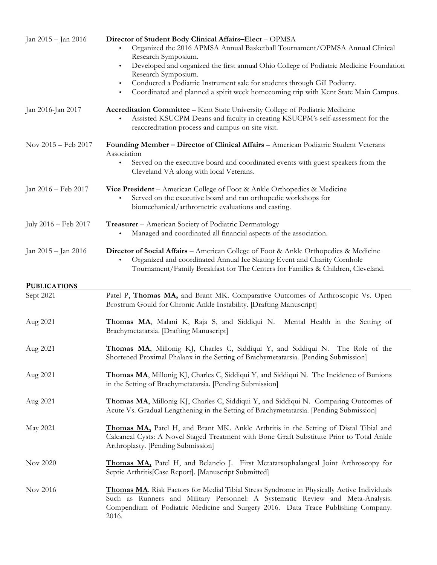| Jan 2015 – Jan 2016  | Director of Student Body Clinical Affairs-Elect - OPMSA<br>Organized the 2016 APMSA Annual Basketball Tournament/OPMSA Annual Clinical<br>Research Symposium.<br>Developed and organized the first annual Ohio College of Podiatric Medicine Foundation<br>$\bullet$<br>Research Symposium.<br>Conducted a Podiatric Instrument sale for students through Gill Podiatry.<br>٠<br>Coordinated and planned a spirit week homecoming trip with Kent State Main Campus.<br>٠ |
|----------------------|--------------------------------------------------------------------------------------------------------------------------------------------------------------------------------------------------------------------------------------------------------------------------------------------------------------------------------------------------------------------------------------------------------------------------------------------------------------------------|
| Jan 2016-Jan 2017    | Accreditation Committee - Kent State University College of Podiatric Medicine<br>Assisted KSUCPM Deans and faculty in creating KSUCPM's self-assessment for the<br>reaccreditation process and campus on site visit.                                                                                                                                                                                                                                                     |
| Nov 2015 - Feb 2017  | Founding Member - Director of Clinical Affairs - American Podiatric Student Veterans<br>Association<br>Served on the executive board and coordinated events with guest speakers from the<br>Cleveland VA along with local Veterans.                                                                                                                                                                                                                                      |
| Jan 2016 - Feb 2017  | Vice President - American College of Foot & Ankle Orthopedics & Medicine<br>Served on the executive board and ran orthopedic workshops for<br>biomechanical/arthrometric evaluations and casting.                                                                                                                                                                                                                                                                        |
| July 2016 - Feb 2017 | Treasurer - American Society of Podiatric Dermatology<br>Managed and coordinated all financial aspects of the association.                                                                                                                                                                                                                                                                                                                                               |
| Jan 2015 – Jan 2016  | Director of Social Affairs - American College of Foot & Ankle Orthopedics & Medicine<br>Organized and coordinated Annual Ice Skating Event and Charity Cornhole<br>Tournament/Family Breakfast for The Centers for Families & Children, Cleveland.                                                                                                                                                                                                                       |
| <b>PUBLICATIONS</b>  |                                                                                                                                                                                                                                                                                                                                                                                                                                                                          |
| Sept 2021            | Patel P, <i>Thomas MA</i> , and Brant MK. Comparative Outcomes of Arthroscopic Vs. Open<br>Brostrum Gould for Chronic Ankle Instability. [Drafting Manuscript]                                                                                                                                                                                                                                                                                                           |
| Aug 2021             | Thomas MA, Malani K, Raja S, and Siddiqui N. Mental Health in the Setting of<br>Brachymetatarsia. [Drafting Manuscript]                                                                                                                                                                                                                                                                                                                                                  |
| Aug 2021             | Thomas MA, Millonig KJ, Charles C, Siddiqui Y, and Siddiqui N. The Role of the<br>Shortened Proximal Phalanx in the Setting of Brachymetatarsia. [Pending Submission]                                                                                                                                                                                                                                                                                                    |
| Aug 2021             | Thomas MA, Millonig KJ, Charles C, Siddiqui Y, and Siddiqui N. The Incidence of Bunions<br>in the Setting of Brachymetatarsia. [Pending Submission]                                                                                                                                                                                                                                                                                                                      |
| Aug 2021             | Thomas MA, Millonig KJ, Charles C, Siddiqui Y, and Siddiqui N. Comparing Outcomes of<br>Acute Vs. Gradual Lengthening in the Setting of Brachymetatarsia. [Pending Submission]                                                                                                                                                                                                                                                                                           |
| May 2021             | Thomas MA, Patel H, and Brant MK. Ankle Arthritis in the Setting of Distal Tibial and<br>Calcaneal Cysts: A Novel Staged Treatment with Bone Graft Substitute Prior to Total Ankle<br>Arthroplasty. [Pending Submission]                                                                                                                                                                                                                                                 |
| Nov 2020             | Thomas MA, Patel H, and Belancio J. First Metatarsophalangeal Joint Arthroscopy for<br>Septic Arthritis [Case Report]. [Manuscript Submitted]                                                                                                                                                                                                                                                                                                                            |
| Nov 2016             | Thomas MA. Risk Factors for Medial Tibial Stress Syndrome in Physically Active Individuals<br>Such as Runners and Military Personnel: A Systematic Review and Meta-Analysis.<br>Compendium of Podiatric Medicine and Surgery 2016. Data Trace Publishing Company.<br>2016.                                                                                                                                                                                               |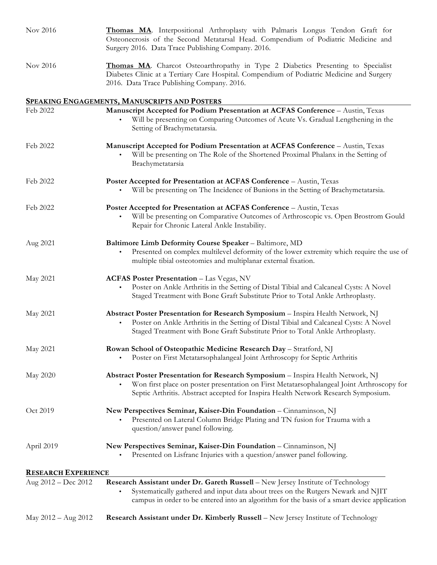| Nov 2016                   | Thomas MA. Interpositional Arthroplasty with Palmaris Longus Tendon Graft for<br>Osteonecrosis of the Second Metatarsal Head. Compendium of Podiatric Medicine and<br>Surgery 2016. Data Trace Publishing Company. 2016.                                                         |
|----------------------------|----------------------------------------------------------------------------------------------------------------------------------------------------------------------------------------------------------------------------------------------------------------------------------|
| Nov 2016                   | Thomas MA. Charcot Osteoarthropathy in Type 2 Diabetics Presenting to Specialist<br>Diabetes Clinic at a Tertiary Care Hospital. Compendium of Podiatric Medicine and Surgery<br>2016. Data Trace Publishing Company. 2016.                                                      |
|                            | <b>SPEAKING ENGAGEMENTS, MANUSCRIPTS AND POSTERS</b>                                                                                                                                                                                                                             |
| Feb 2022                   | Manuscript Accepted for Podium Presentation at ACFAS Conference - Austin, Texas<br>Will be presenting on Comparing Outcomes of Acute Vs. Gradual Lengthening in the<br>Setting of Brachymetatarsia.                                                                              |
| Feb 2022                   | Manuscript Accepted for Podium Presentation at ACFAS Conference - Austin, Texas<br>Will be presenting on The Role of the Shortened Proximal Phalanx in the Setting of<br>$\bullet$<br>Brachymetatarsia                                                                           |
| Feb 2022                   | Poster Accepted for Presentation at ACFAS Conference - Austin, Texas                                                                                                                                                                                                             |
|                            | Will be presenting on The Incidence of Bunions in the Setting of Brachymetatarsia.                                                                                                                                                                                               |
| Feb 2022                   | Poster Accepted for Presentation at ACFAS Conference - Austin, Texas<br>Will be presenting on Comparative Outcomes of Arthroscopic vs. Open Brostrom Gould<br>Repair for Chronic Lateral Ankle Instability.                                                                      |
| Aug 2021                   | Baltimore Limb Deformity Course Speaker - Baltimore, MD<br>Presented on complex multilevel deformity of the lower extremity which require the use of<br>$\bullet$<br>multiple tibial osteotomies and multiplanar external fixation.                                              |
| May 2021                   | <b>ACFAS Poster Presentation - Las Vegas, NV</b><br>Poster on Ankle Arthritis in the Setting of Distal Tibial and Calcaneal Cysts: A Novel<br>Staged Treatment with Bone Graft Substitute Prior to Total Ankle Arthroplasty.                                                     |
| May 2021                   | Abstract Poster Presentation for Research Symposium - Inspira Health Network, NJ<br>Poster on Ankle Arthritis in the Setting of Distal Tibial and Calcaneal Cysts: A Novel<br>$\bullet$<br>Staged Treatment with Bone Graft Substitute Prior to Total Ankle Arthroplasty.        |
| May 2021                   | Rowan School of Osteopathic Medicine Research Day - Stratford, NJ                                                                                                                                                                                                                |
|                            | Poster on First Metatarsophalangeal Joint Arthroscopy for Septic Arthritis<br>$\bullet$                                                                                                                                                                                          |
| May 2020                   | Abstract Poster Presentation for Research Symposium - Inspira Health Network, NJ<br>Won first place on poster presentation on First Metatarsophalangeal Joint Arthroscopy for<br>$\bullet$<br>Septic Arthritis. Abstract accepted for Inspira Health Network Research Symposium. |
| Oct 2019                   | New Perspectives Seminar, Kaiser-Din Foundation - Cinnaminson, NJ<br>Presented on Lateral Column Bridge Plating and TN fusion for Trauma with a<br>question/answer panel following.                                                                                              |
| April 2019                 | New Perspectives Seminar, Kaiser-Din Foundation - Cinnaminson, NJ<br>Presented on Lisfranc Injuries with a question/answer panel following.                                                                                                                                      |
| <b>RESEARCH EXPERIENCE</b> |                                                                                                                                                                                                                                                                                  |
| Aug 2012 - Dec 2012        | Research Assistant under Dr. Gareth Russell - New Jersey Institute of Technology<br>Systematically gathered and input data about trees on the Rutgers Newark and NJIT<br>٠<br>campus in order to be entered into an algorithm for the basis of a smart device application        |
| May $2012 - Aug 2012$      | Research Assistant under Dr. Kimberly Russell - New Jersey Institute of Technology                                                                                                                                                                                               |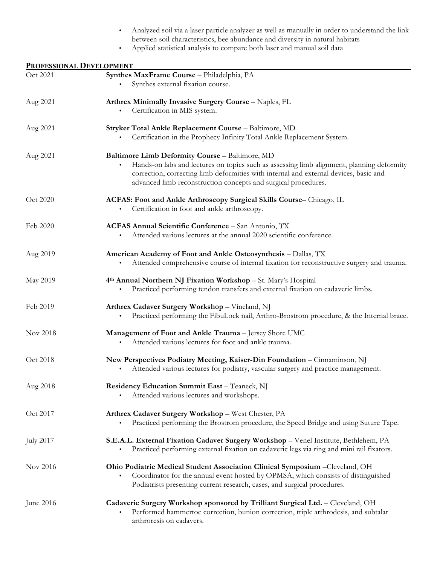| Analyzed soil via a laser particle analyzer as well as manually in order to understand the link |
|-------------------------------------------------------------------------------------------------|
| between soil characteristics, bee abundance and diversity in natural habitats                   |

• Applied statistical analysis to compare both laser and manual soil data

| PROFESSIONAL DEVELOPMENT |                                                                                                                                                                                                                                                                                                                      |  |
|--------------------------|----------------------------------------------------------------------------------------------------------------------------------------------------------------------------------------------------------------------------------------------------------------------------------------------------------------------|--|
| Oct 2021                 | Synthes MaxFrame Course - Philadelphia, PA<br>Synthes external fixation course.                                                                                                                                                                                                                                      |  |
| Aug 2021                 | Arthrex Minimally Invasive Surgery Course - Naples, FL<br>Certification in MIS system.<br>٠                                                                                                                                                                                                                          |  |
| Aug 2021                 | Stryker Total Ankle Replacement Course - Baltimore, MD<br>Certification in the Prophecy Infinity Total Ankle Replacement System.                                                                                                                                                                                     |  |
| Aug 2021                 | Baltimore Limb Deformity Course - Baltimore, MD<br>Hands-on labs and lectures on topics such as assessing limb alignment, planning deformity<br>$\bullet$<br>correction, correcting limb deformities with internal and external devices, basic and<br>advanced limb reconstruction concepts and surgical procedures. |  |
| Oct 2020                 | ACFAS: Foot and Ankle Arthroscopy Surgical Skills Course- Chicago, IL<br>Certification in foot and ankle arthroscopy.                                                                                                                                                                                                |  |
| Feb 2020                 | ACFAS Annual Scientific Conference - San Antonio, TX<br>Attended various lectures at the annual 2020 scientific conference.                                                                                                                                                                                          |  |
| Aug 2019                 | American Academy of Foot and Ankle Osteosynthesis - Dallas, TX<br>Attended comprehensive course of internal fixation for reconstructive surgery and trauma.                                                                                                                                                          |  |
| May 2019                 | 4th Annual Northern NJ Fixation Workshop - St. Mary's Hospital<br>Practiced performing tendon transfers and external fixation on cadaveric limbs.<br>٠                                                                                                                                                               |  |
| Feb 2019                 | Arthrex Cadaver Surgery Workshop - Vineland, NJ<br>Practiced performing the FibuLock nail, Arthro-Brostrom procedure, & the Internal brace.<br>$\bullet$                                                                                                                                                             |  |
| Nov 2018                 | Management of Foot and Ankle Trauma - Jersey Shore UMC<br>Attended various lectures for foot and ankle trauma.<br>٠                                                                                                                                                                                                  |  |
| Oct 2018                 | New Perspectives Podiatry Meeting, Kaiser-Din Foundation - Cinnaminson, NJ<br>Attended various lectures for podiatry, vascular surgery and practice management.                                                                                                                                                      |  |
| Aug 2018                 | Residency Education Summit East - Teaneck, NJ<br>Attended various lectures and workshops.                                                                                                                                                                                                                            |  |
| Oct 2017                 | Arthrex Cadaver Surgery Workshop - West Chester, PA<br>Practiced performing the Brostrom procedure, the Speed Bridge and using Suture Tape.<br>٠                                                                                                                                                                     |  |
| <b>July 2017</b>         | S.E.A.L. External Fixation Cadaver Surgery Workshop - Venel Institute, Bethlehem, PA<br>Practiced performing external fixation on cadaveric legs via ring and mini rail fixators.<br>٠                                                                                                                               |  |
| Nov 2016                 | Ohio Podiatric Medical Student Association Clinical Symposium -Cleveland, OH<br>Coordinator for the annual event hosted by OPMSA, which consists of distinguished<br>Podiatrists presenting current research, cases, and surgical procedures.                                                                        |  |
| June 2016                | Cadaveric Surgery Workshop sponsored by Trilliant Surgical Ltd. - Cleveland, OH<br>Performed hammertoe correction, bunion correction, triple arthrodesis, and subtalar<br>arthroresis on cadavers.                                                                                                                   |  |